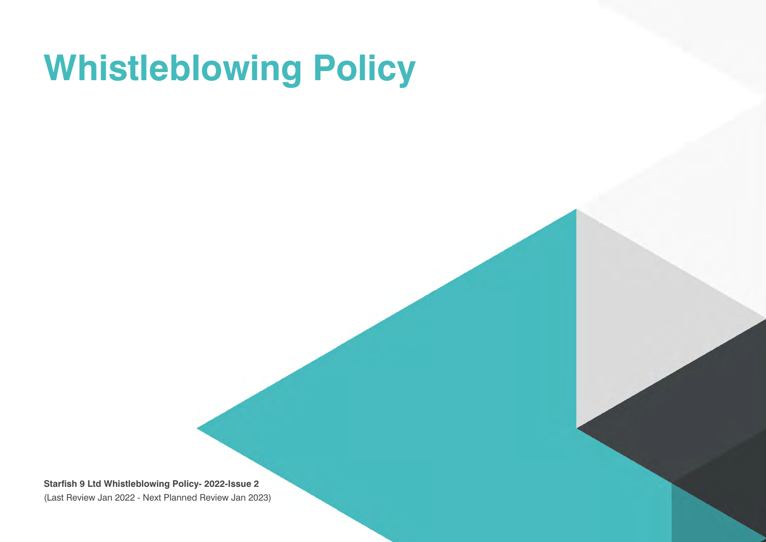## **Whistleblowing Policy**

**Starfish 9 Ltd Whistleblowing Policy- 2022-Issue 2**  (Last Review Jan 2022 - Next Planned Review Jan 2023)